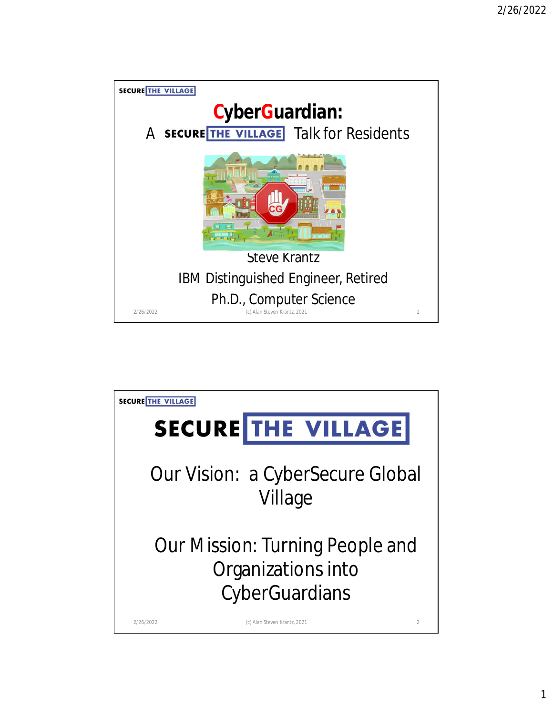

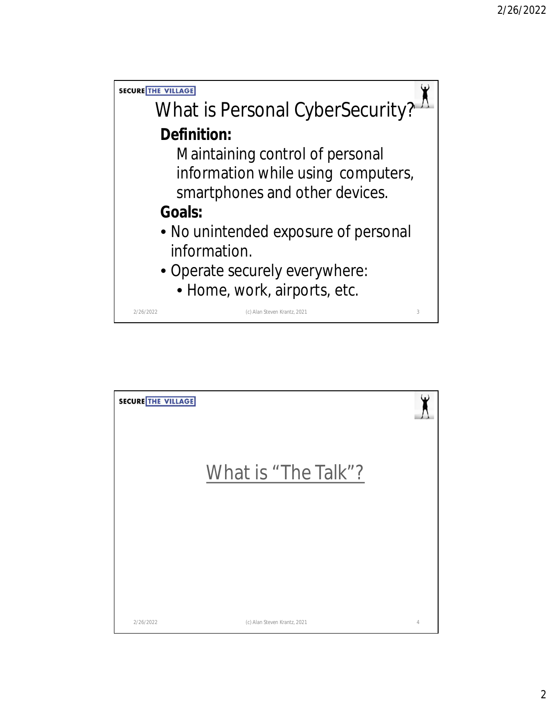

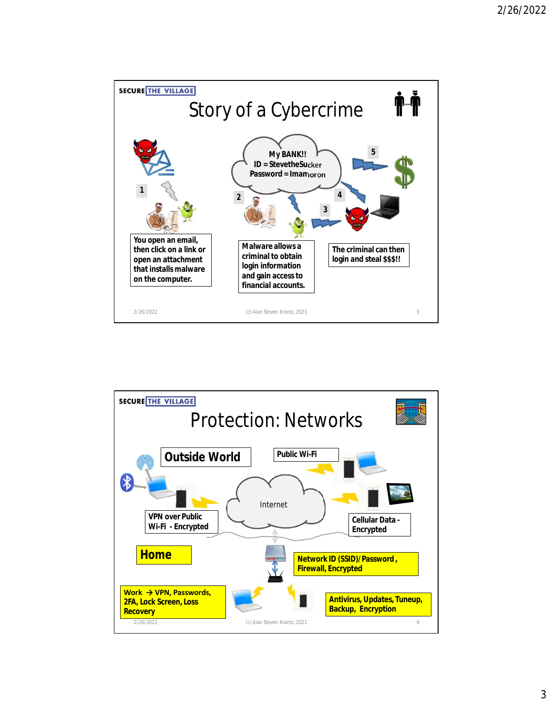

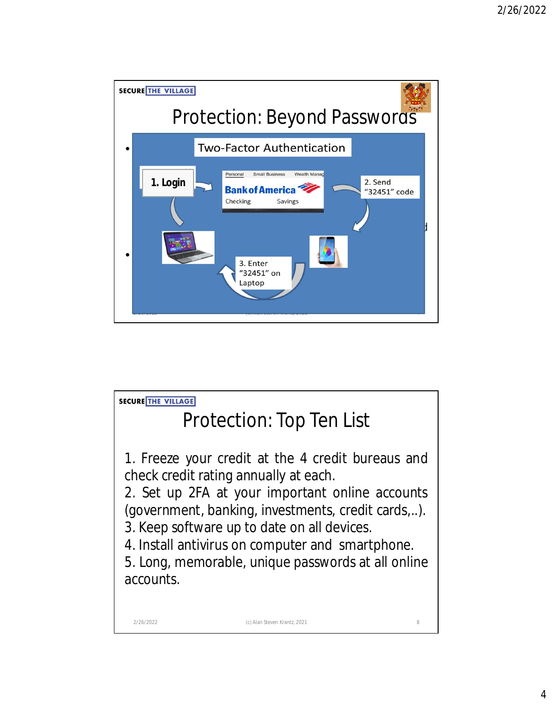

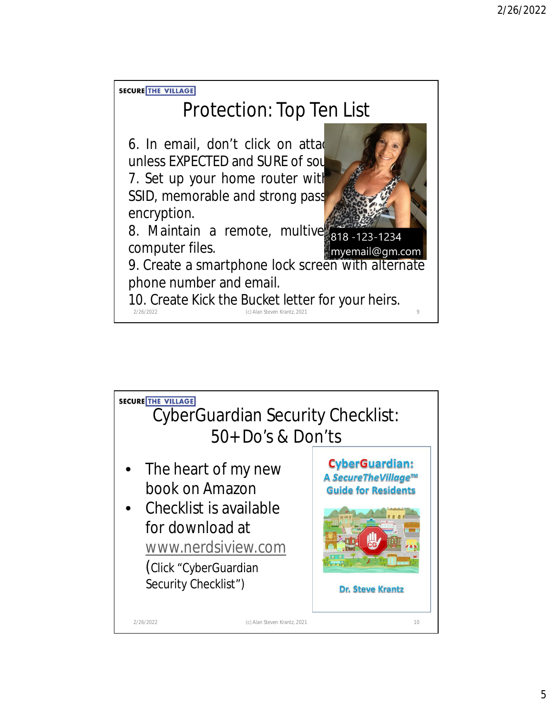**SECURE THE VILLAGE** 

## Protection: Top Ten List

6. In email, don't click on attachments of  $\mathbf{S}$ unless EXPECTED and SURE of source. 7. Set up your home router with SSID, memorable and strong pass encryption.



8. Maintain a remote, multiversion backup of computer files. myemail@gm.com

9. Create a smartphone lock screen with alternate phone number and email.

2/26/2022 (c) Alan Steven Krantz, 2021 9 10. Create *Kick the Bucket* letter for your heirs.

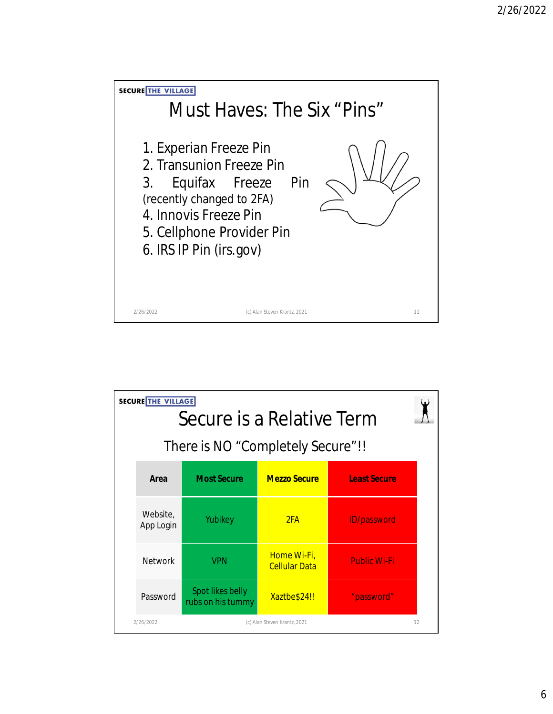

| <b>SECURE THE VILLAGE</b><br>Secure is a Relative Term<br>There is NO "Completely Secure"!! |                                       |                                     |                     |    |  |  |  |
|---------------------------------------------------------------------------------------------|---------------------------------------|-------------------------------------|---------------------|----|--|--|--|
| Area                                                                                        | <b>Most Secure</b>                    | <b>Mezzo Secure</b>                 | <b>Least Secure</b> |    |  |  |  |
| Website,<br>App Login                                                                       | Yubikey                               | 2FA                                 | <b>ID/password</b>  |    |  |  |  |
| <b>Network</b>                                                                              | <b>VPN</b>                            | Home Wi-Fi,<br><b>Cellular Data</b> | <b>Public Wi-Fi</b> |    |  |  |  |
| Password                                                                                    | Spot likes belly<br>rubs on his tummy | Xaztbe\$24!!                        | "password"          |    |  |  |  |
| 2/26/2022                                                                                   |                                       | (c) Alan Steven Krantz, 2021        |                     | 12 |  |  |  |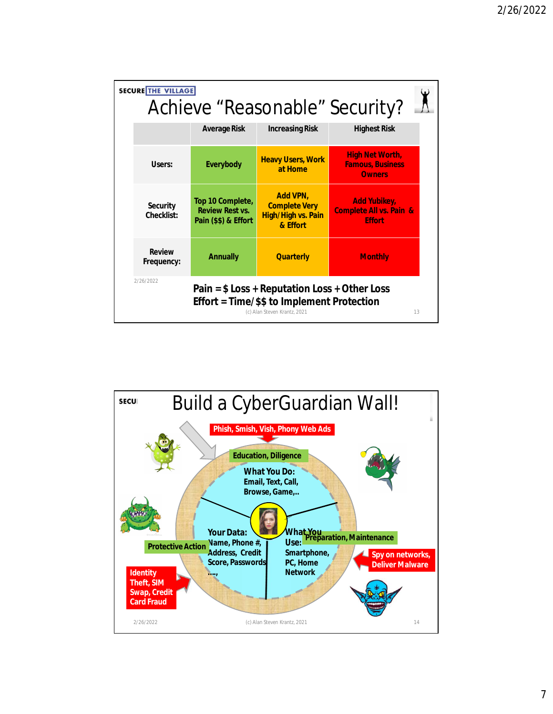| <b>SECURE THE VILLAGE</b>                                                                                                                       |                                                                    |                                                                                  | Achieve "Reasonable" Security?                                             |  |  |  |
|-------------------------------------------------------------------------------------------------------------------------------------------------|--------------------------------------------------------------------|----------------------------------------------------------------------------------|----------------------------------------------------------------------------|--|--|--|
|                                                                                                                                                 | <b>Average Risk</b>                                                | <b>Increasing Risk</b>                                                           | <b>Highest Risk</b>                                                        |  |  |  |
| Users:                                                                                                                                          | <b>Everybody</b>                                                   | <b>Heavy Users, Work</b><br>at Home                                              | <b>High Net Worth,</b><br><b>Famous, Business</b><br><b>Owners</b>         |  |  |  |
| <b>Security</b><br><b>Checklist:</b>                                                                                                            | Top 10 Complete,<br><b>Review Rest vs.</b><br>Pain (\$\$) & Effort | <b>Add VPN,</b><br><b>Complete Very</b><br><b>High/High vs. Pain</b><br>& Effort | <b>Add Yubikey,</b><br><b>Complete All vs. Pain &amp;</b><br><b>Effort</b> |  |  |  |
| <b>Review</b><br>Frequency:                                                                                                                     | <b>Annually</b>                                                    | <b>Quarterly</b>                                                                 | <b>Monthly</b>                                                             |  |  |  |
| 2/26/2022<br>Pain = $$ Loss + Reputation Loss + Other Loss$<br>Effort = Time/\$\$ to Implement Protection<br>(c) Alan Steven Krantz, 2021<br>13 |                                                                    |                                                                                  |                                                                            |  |  |  |

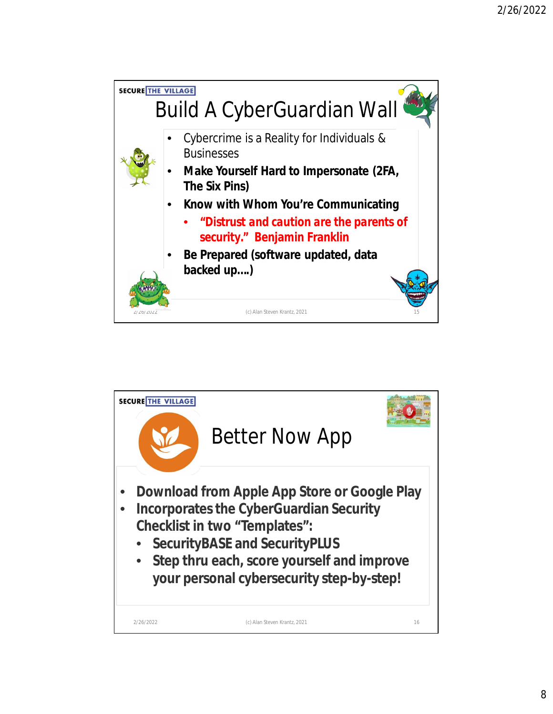

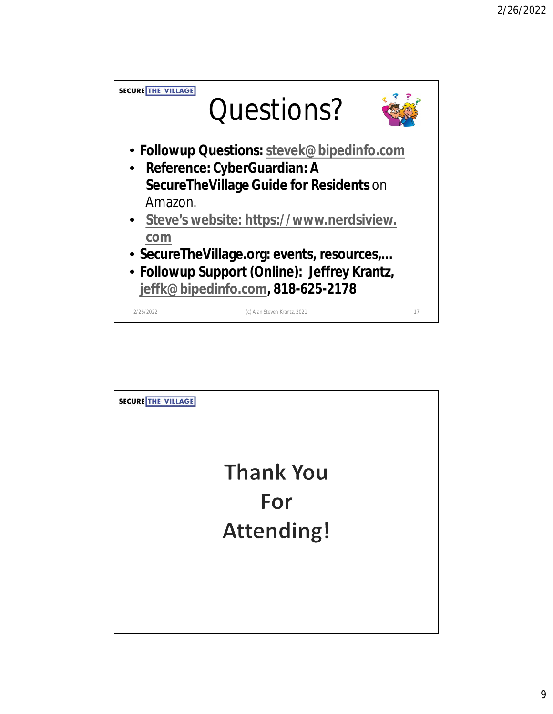